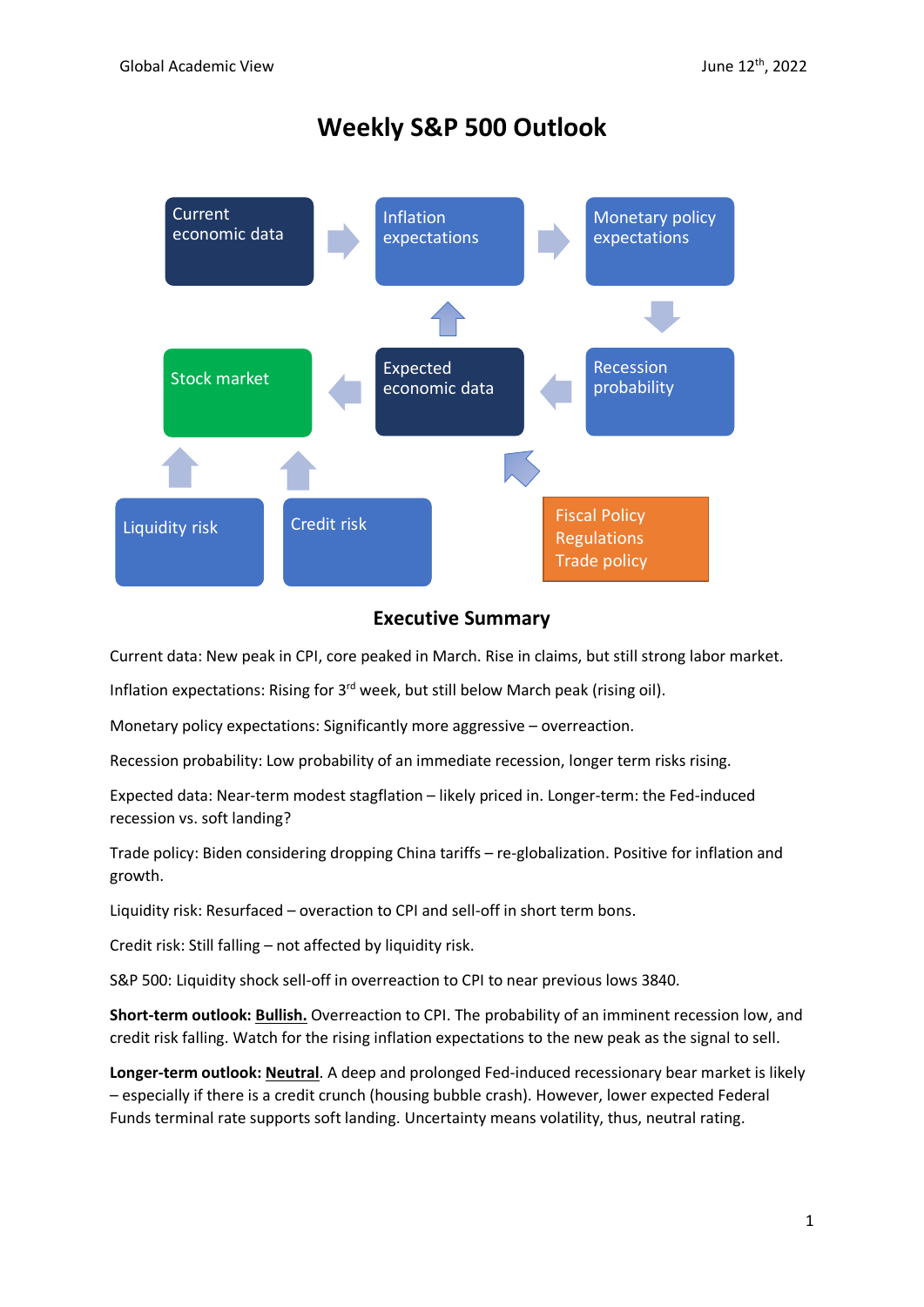# **Weekly S&P 500 Outlook**



## **Executive Summary**

Current data: New peak in CPI, core peaked in March. Rise in claims, but still strong labor market.

Inflation expectations: Rising for 3<sup>rd</sup> week, but still below March peak (rising oil).

Monetary policy expectations: Significantly more aggressive – overreaction.

Recession probability: Low probability of an immediate recession, longer term risks rising.

Expected data: Near-term modest stagflation – likely priced in. Longer-term: the Fed-induced recession vs. soft landing?

Trade policy: Biden considering dropping China tariffs – re-globalization. Positive for inflation and growth.

Liquidity risk: Resurfaced – overaction to CPI and sell-off in short term bons.

Credit risk: Still falling – not affected by liquidity risk.

S&P 500: Liquidity shock sell-off in overreaction to CPI to near previous lows 3840.

**Short-term outlook: Bullish.** Overreaction to CPI. The probability of an imminent recession low, and credit risk falling. Watch for the rising inflation expectations to the new peak as the signal to sell.

**Longer-term outlook: Neutral**. A deep and prolonged Fed-induced recessionary bear market is likely – especially if there is a credit crunch (housing bubble crash). However, lower expected Federal Funds terminal rate supports soft landing. Uncertainty means volatility, thus, neutral rating.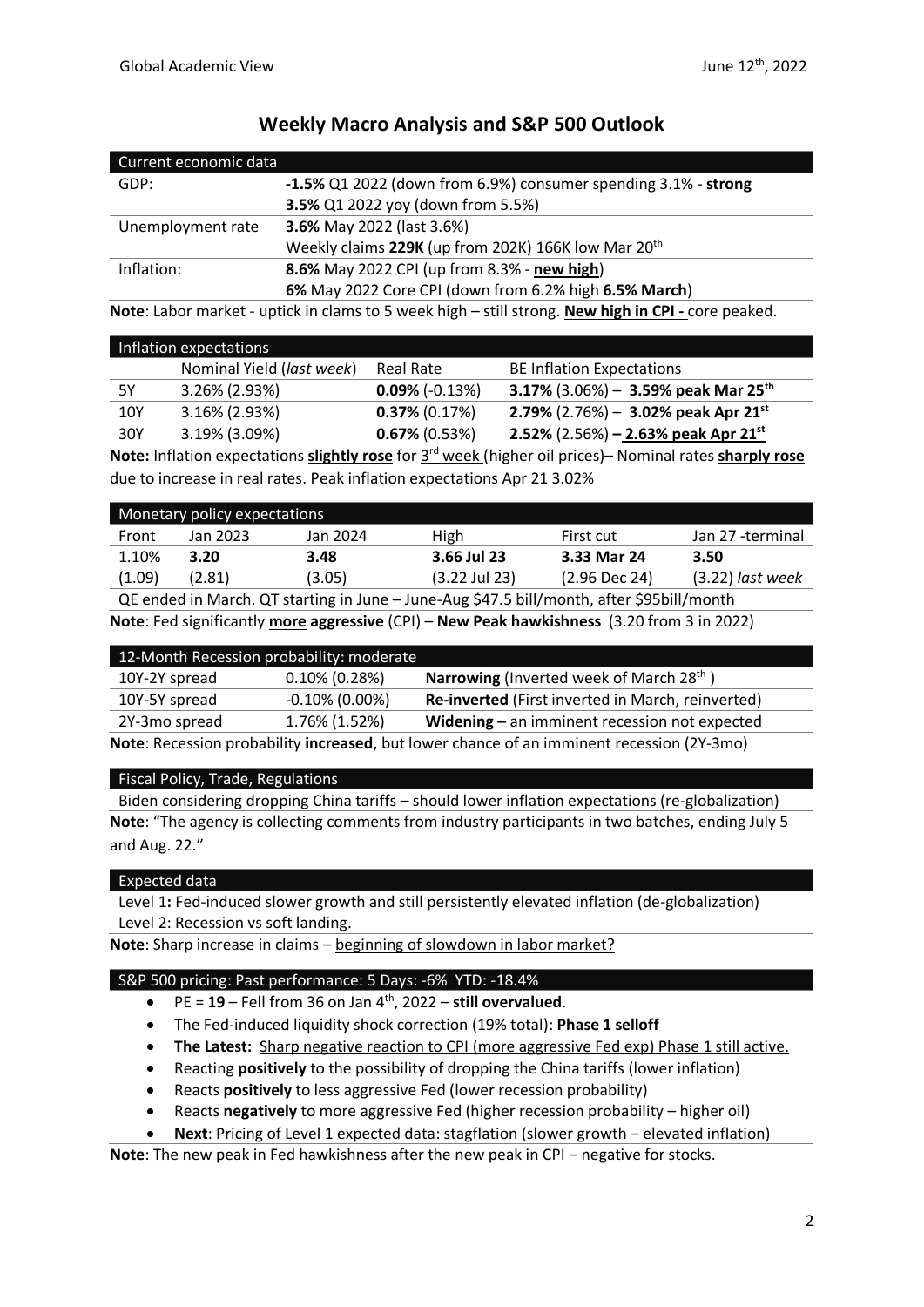| Current economic data |                                                                   |  |
|-----------------------|-------------------------------------------------------------------|--|
| GDP:                  | $-1.5\%$ Q1 2022 (down from 6.9%) consumer spending 3.1% - strong |  |
|                       | 3.5% Q1 2022 yoy (down from 5.5%)                                 |  |
| Unemployment rate     | <b>3.6%</b> May 2022 (last 3.6%)                                  |  |
|                       | Weekly claims 229K (up from 202K) 166K low Mar 20 <sup>th</sup>   |  |
| Inflation:            | 8.6% May 2022 CPI (up from 8.3% - new high)                       |  |
|                       | 6% May 2022 Core CPI (down from 6.2% high 6.5% March)             |  |
|                       |                                                                   |  |

# **Weekly Macro Analysis and S&P 500 Outlook**

**Note**: Labor market - uptick in clams to 5 week high – still strong. **New high in CPI -** core peaked.

| Inflation expectations |                           |                   |                                                   |
|------------------------|---------------------------|-------------------|---------------------------------------------------|
|                        | Nominal Yield (last week) | Real Rate         | <b>BE Inflation Expectations</b>                  |
| 5Υ                     | $3.26\%$ (2.93%)          | $0.09\%$ (-0.13%) | 3.17% $(3.06%) - 3.59%$ peak Mar 25 <sup>th</sup> |
| 10Y                    | $3.16\%$ (2.93%)          | $0.37\%$ (0.17%)  | 2.79% (2.76%) - 3.02% peak Apr 21 <sup>st</sup>   |
| 30Y                    | 3.19% (3.09%)             | $0.67\%$ (0.53%)  | 2.52% $(2.56%) - 2.63%$ peak Apr 21 <sup>st</sup> |

**Note:** Inflation expectations **slightly rose** for 3<sup>rd</sup> week (higher oil prices)– Nominal rates **sharply rose** due to increase in real rates. Peak inflation expectations Apr 21 3.02%

|        | Monetary policy expectations |          |                 |                 |                    |
|--------|------------------------------|----------|-----------------|-----------------|--------------------|
| Front  | Jan 2023                     | Jan 2024 | <b>High</b>     | First cut       | Jan 27 -terminal   |
| 1.10%  | 3.20                         | 3.48     | 3.66 Jul 23     | 3.33 Mar 24     | 3.50               |
| (1.09) | (2.81)                       | (3.05)   | $(3.22$ Jul 23) | $(2.96$ Dec 24) | $(3.22)$ last week |
|        |                              |          | .               |                 |                    |

QE ended in March. QT starting in June – June-Aug \$47.5 bill/month, after \$95bill/month **Note**: Fed significantly **more aggressive** (CPI) – **New Peak hawkishness** (3.20 from 3 in 2022)

| 12-Month Recession probability: moderate                                                  |                   |                                                             |  |
|-------------------------------------------------------------------------------------------|-------------------|-------------------------------------------------------------|--|
| 10Y-2Y spread                                                                             | $0.10\%$ (0.28%)  | <b>Narrowing</b> (Inverted week of March 28 <sup>th</sup> ) |  |
| 10Y-5Y spread                                                                             | $-0.10\%$ (0.00%) | Re-inverted (First inverted in March, reinverted)           |  |
| 1.76% (1.52%)<br>2Y-3mo spread<br>Widening $-$ an imminent recession not expected         |                   |                                                             |  |
| Note: Recession probability increased, but lower chance of an imminent recession (2Y-3mo) |                   |                                                             |  |

### Fiscal Policy, Trade, Regulations

Biden considering dropping China tariffs – should lower inflation expectations (re-globalization) **Note**: "The agency is collecting comments from industry participants in two batches, ending July 5 and Aug. 22."

### Expected data

Level 1**:** Fed-induced slower growth and still persistently elevated inflation (de-globalization) Level 2: Recession vs soft landing.

**Note**: Sharp increase in claims – beginning of slowdown in labor market?

#### S&P 500 pricing: Past performance: 5 Days: -6% YTD: -18.4%

- PE = **19** Fell from 36 on Jan 4th , 2022 **still overvalued**.
- The Fed-induced liquidity shock correction (19% total): **Phase 1 selloff**
- **The Latest:** Sharp negative reaction to CPI (more aggressive Fed exp) Phase 1 still active.
- Reacting **positively** to the possibility of dropping the China tariffs (lower inflation)
- Reacts **positively** to less aggressive Fed (lower recession probability)
- Reacts **negatively** to more aggressive Fed (higher recession probability higher oil)
- **Next**: Pricing of Level 1 expected data: stagflation (slower growth elevated inflation)

**Note**: The new peak in Fed hawkishness after the new peak in CPI – negative for stocks.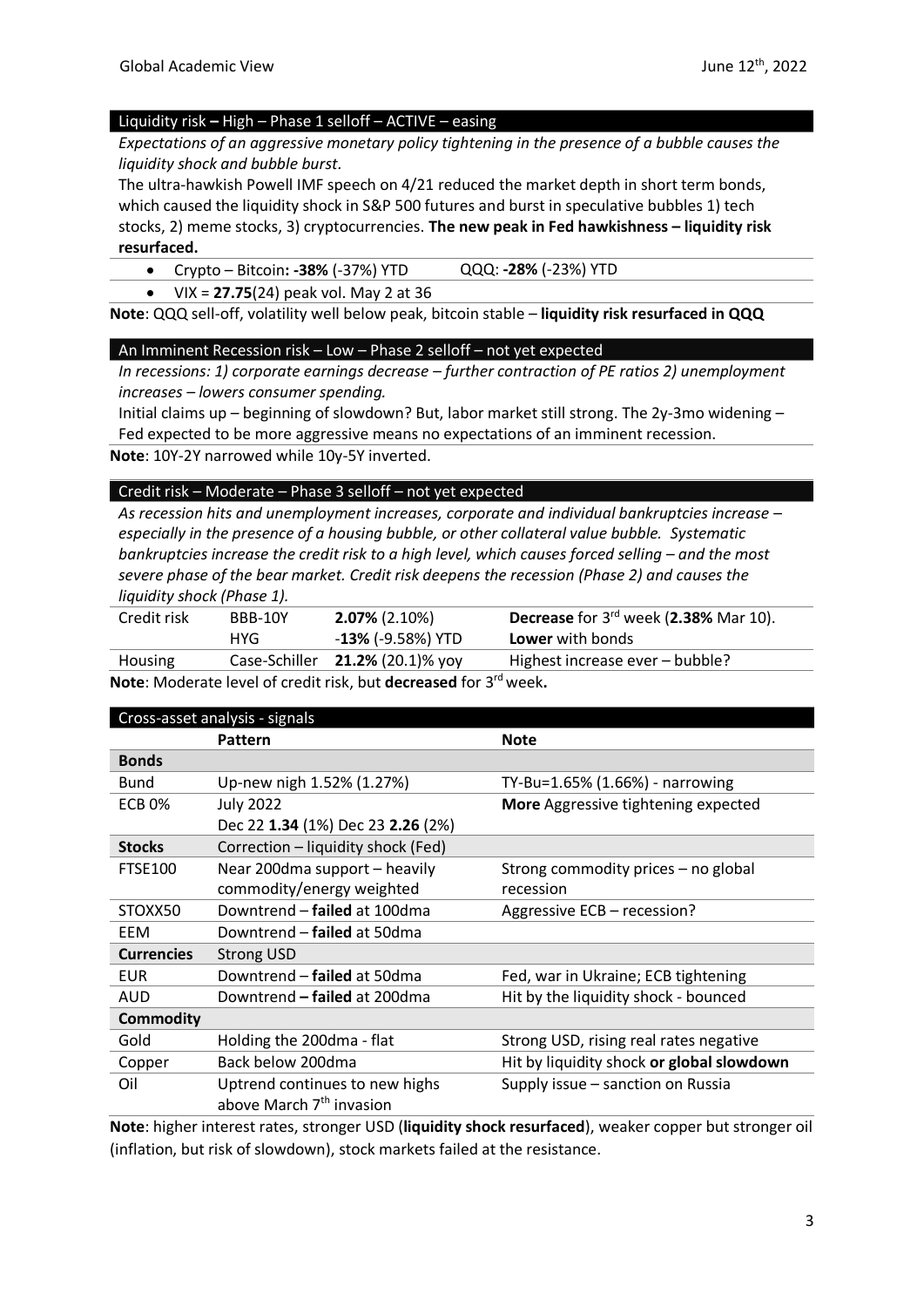#### Liquidity risk **–** High – Phase 1 selloff – ACTIVE – easing

*Expectations of an aggressive monetary policy tightening in the presence of a bubble causes the liquidity shock and bubble burst.*

The ultra-hawkish Powell IMF speech on 4/21 reduced the market depth in short term bonds, which caused the liquidity shock in S&P 500 futures and burst in speculative bubbles 1) tech stocks, 2) meme stocks, 3) cryptocurrencies. **The new peak in Fed hawkishness – liquidity risk resurfaced.** 

### • Crypto – Bitcoin**: -38%** (-37%) YTD QQQ: **-28%** (-23%) YTD

• VIX = **27.75**(24) peak vol. May 2 at 36

**Note**: QQQ sell-off, volatility well below peak, bitcoin stable – **liquidity risk resurfaced in QQQ**

#### An Imminent Recession risk – Low – Phase 2 selloff – not yet expected

*In recessions: 1) corporate earnings decrease – further contraction of PE ratios 2) unemployment increases – lowers consumer spending.*

Initial claims up – beginning of slowdown? But, labor market still strong. The 2y-3mo widening – Fed expected to be more aggressive means no expectations of an imminent recession.

**Note**: 10Y-2Y narrowed while 10y-5Y inverted.

#### Credit risk – Moderate – Phase 3 selloff – not yet expected

*As recession hits and unemployment increases, corporate and individual bankruptcies increase – especially in the presence of a housing bubble, or other collateral value bubble. Systematic bankruptcies increase the credit risk to a high level, which causes forced selling – and the most severe phase of the bear market. Credit risk deepens the recession (Phase 2) and causes the liquidity shock (Phase 1).* 

| Credit risk | BBB-10Y | $2.07\%$ (2.10%)                   | Decrease for 3rd week (2.38% Mar 10). |
|-------------|---------|------------------------------------|---------------------------------------|
|             | HYG     | - <b>13%</b> (-9.58%) YTD          | <b>Lower</b> with bonds               |
| Housing     |         | Case-Schiller $21.2\%$ (20.1)% yoy | Highest increase ever – bubble?       |
|             |         |                                    |                                       |

**Note**: Moderate level of credit risk, but **decreased** for 3 rd week**.**

| Cross-asset analysis - signals |                                      |                                           |  |
|--------------------------------|--------------------------------------|-------------------------------------------|--|
|                                | Pattern                              | <b>Note</b>                               |  |
| <b>Bonds</b>                   |                                      |                                           |  |
| <b>Bund</b>                    | Up-new nigh 1.52% (1.27%)            | TY-Bu=1.65% (1.66%) - narrowing           |  |
| <b>ECB 0%</b>                  | <b>July 2022</b>                     | More Aggressive tightening expected       |  |
|                                | Dec 22 1.34 (1%) Dec 23 2.26 (2%)    |                                           |  |
| <b>Stocks</b>                  | Correction - liquidity shock (Fed)   |                                           |  |
| <b>FTSE100</b>                 | Near 200dma support - heavily        | Strong commodity prices - no global       |  |
|                                | commodity/energy weighted            | recession                                 |  |
| STOXX50                        | Downtrend - failed at 100dma         | Aggressive ECB - recession?               |  |
| EEM                            | Downtrend – failed at 50dma          |                                           |  |
| <b>Currencies</b>              | <b>Strong USD</b>                    |                                           |  |
| <b>EUR</b>                     | Downtrend - failed at 50dma          | Fed, war in Ukraine; ECB tightening       |  |
| AUD                            | Downtrend - failed at 200dma         | Hit by the liquidity shock - bounced      |  |
| <b>Commodity</b>               |                                      |                                           |  |
| Gold                           | Holding the 200dma - flat            | Strong USD, rising real rates negative    |  |
| Copper                         | Back below 200dma                    | Hit by liquidity shock or global slowdown |  |
| Oil                            | Uptrend continues to new highs       | Supply issue - sanction on Russia         |  |
|                                | above March 7 <sup>th</sup> invasion |                                           |  |

**Note**: higher interest rates, stronger USD (**liquidity shock resurfaced**), weaker copper but stronger oil (inflation, but risk of slowdown), stock markets failed at the resistance.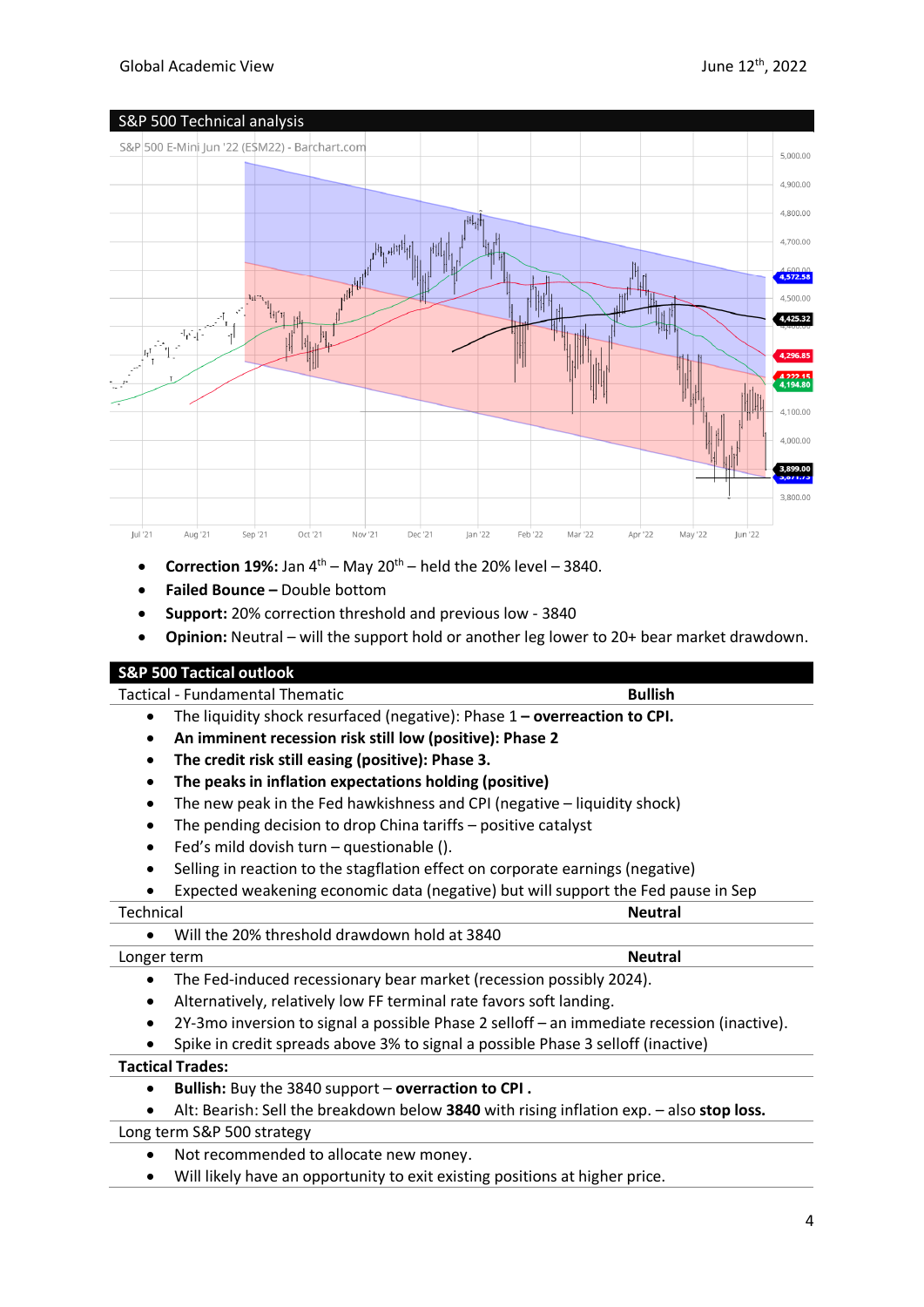

- **Correction 19%:** Jan  $4^{th}$  May  $20^{th}$  held the 20% level 3840.
- **Failed Bounce –** Double bottom
- **Support:** 20% correction threshold and previous low 3840
- **Opinion:** Neutral will the support hold or another leg lower to 20+ bear market drawdown.

### **S&P 500 Tactical outlook**

Tactical - Fundamental Thematic **Bullish**

- The liquidity shock resurfaced (negative): Phase 1 **– overreaction to CPI.**
- **An imminent recession risk still low (positive): Phase 2**
- **The credit risk still easing (positive): Phase 3.**
- **The peaks in inflation expectations holding (positive)**
- The new peak in the Fed hawkishness and CPI (negative liquidity shock)
- The pending decision to drop China tariffs positive catalyst
- Fed's mild dovish turn questionable ().
- Selling in reaction to the stagflation effect on corporate earnings (negative)
- Expected weakening economic data (negative) but will support the Fed pause in Sep

| Technical   |                                              | <b>Neutral</b> |
|-------------|----------------------------------------------|----------------|
|             | Will the 20% threshold drawdown hold at 3840 |                |
| Longer term |                                              | <b>Neutral</b> |

- The Fed-induced recessionary bear market (recession possibly 2024).
- Alternatively, relatively low FF terminal rate favors soft landing.
- 2Y-3mo inversion to signal a possible Phase 2 selloff an immediate recession (inactive).
- Spike in credit spreads above 3% to signal a possible Phase 3 selloff (inactive)

#### **Tactical Trades:**

- **Bullish:** Buy the 3840 support **overraction to CPI .**
- Alt: Bearish: Sell the breakdown below **3840** with rising inflation exp. also **stop loss.**

#### Long term S&P 500 strategy

- Not recommended to allocate new money.
- Will likely have an opportunity to exit existing positions at higher price.